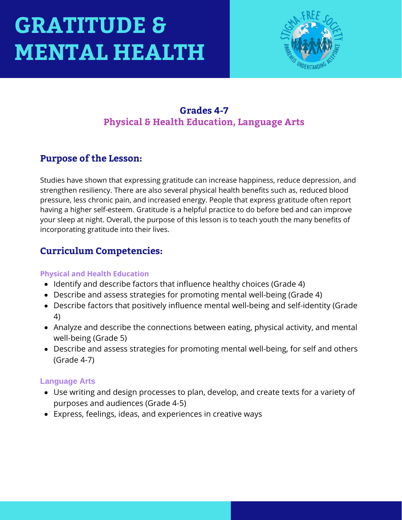

#### **Grades 4-7 Physical & Health Education, Language Arts**

#### **Purpose of the Lesson:**

Studies have shown that expressing gratitude can increase happiness, reduce depression, and strengthen resiliency. There are also several physical health benefits such as, reduced blood pressure, less chronic pain, and increased energy. People that express gratitude often report having a higher self-esteem. Gratitude is a helpful practice to do before bed and can improve your sleep at night. Overall, the purpose of this lesson is to teach youth the many benefits of incorporating gratitude into their lives.

#### **Curriculum Competencies:**

#### **Physical and Health Education**

- Identify and describe factors that influence healthy choices (Grade 4)
- Describe and assess strategies for promoting mental well-being (Grade 4)
- Describe factors that positively influence mental well-being and self-identity (Grade 4)
- Analyze and describe the connections between eating, physical activity, and mental well-being (Grade 5)
- Describe and assess strategies for promoting mental well-being, for self and others (Grade 4-7)

#### **Language Arts**

- Use writing and design processes to plan, develop, and create texts for a variety of purposes and audiences (Grade 4-5)
- Express, feelings, ideas, and experiences in creative ways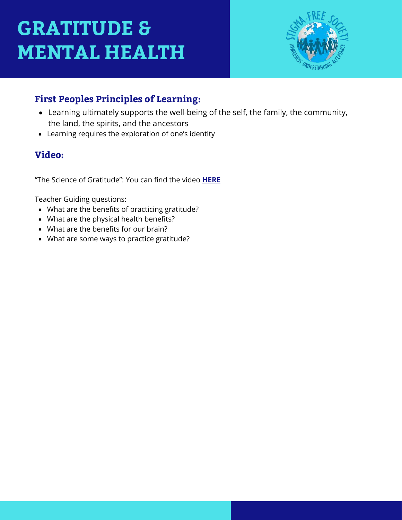

### **First Peoples Principles of Learning:**

- Learning ultimately supports the well-being of the self, the family, the community, the land, the spirits, and the ancestors
- Learning requires the exploration of one's identity

#### **Video:**

"The Science of Gratitude": You can find the video **[HERE](https://www.youtube.com/watch?v=JMd1CcGZYwU)**

Teacher Guiding questions:

- What are the benefits of practicing gratitude?
- What are the physical health benefits?
- What are the benefits for our brain?
- What are some ways to practice gratitude?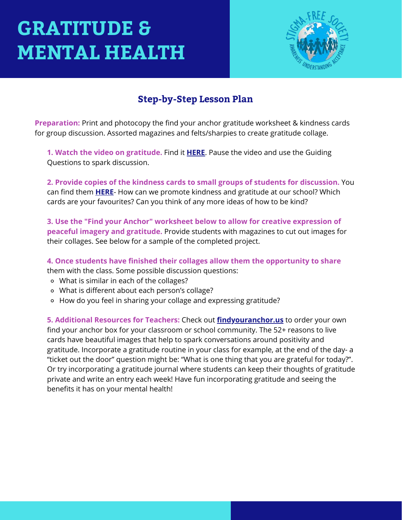

#### **Step-by-Step Lesson Plan**

**Preparation:** Print and photocopy the find your anchor gratitude worksheet & kindness cards for group discussion. Assorted magazines and felts/sharpies to create gratitude collage.

**1. Watch the video on gratitude.** Find it **[HERE](https://www.youtube.com/watch?v=JMd1CcGZYwU)**. Pause the video and use the Guiding Questions to spark discussion.

**2. Provide copies of the kindness cards to small groups of students for discussion.** You can find them **[HERE](https://www.channelkindness.org/be-an-anchor-in-2020/)**- How can we promote kindness and gratitude at our school? Which cards are your favourites? Can you think of any more ideas of how to be kind?

**3. Use the "Find your Anchor" worksheet below to allow for creative expression of peaceful imagery and gratitude.** Provide students with magazines to cut out images for their collages. See below for a sample of the completed project.

**4. Once students have finished their collages allow them the opportunity to share** them with the class. Some possible discussion questions:

- What is similar in each of the collages?
- What is different about each person's collage?
- How do you feel in sharing your collage and expressing gratitude?

**5. Additional Resources for Teachers:** Check out **[findyouranchor.us](http://findyouranchor.us/)** to order your own find your anchor box for your classroom or school community. The 52+ reasons to live cards have beautiful images that help to spark conversations around positivity and gratitude. Incorporate a gratitude routine in your class for example, at the end of the day- a "ticket out the door" question might be: "What is one thing that you are grateful for today?". Or try incorporating a gratitude journal where students can keep their thoughts of gratitude private and write an entry each week! Have fun incorporating gratitude and seeing the benefits it has on your mental health!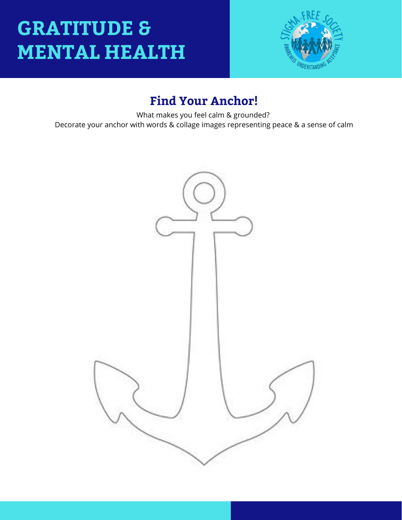

### **Find Your Anchor!**

What makes you feel calm & grounded? Decorate your anchor with words & collage images representing peace & a sense of calm